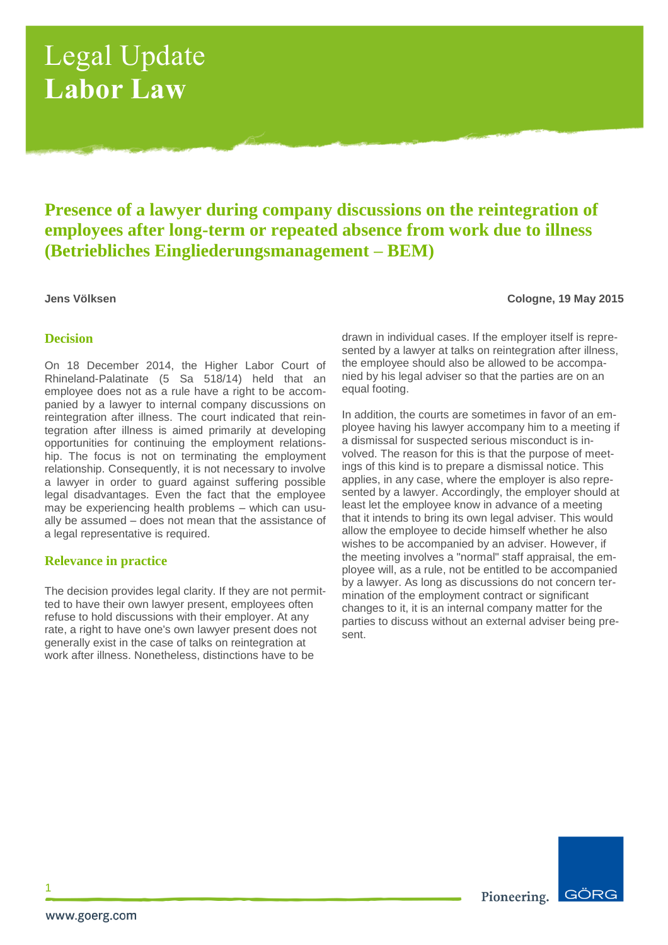# Legal Update **Labor Law**

# **Presence of a lawyer during company discussions on the reintegration of employees after long-term or repeated absence from work due to illness (Betriebliches Eingliederungsmanagement – BEM)**

**Jens Völksen Cologne, 19 May 2015**

### **Decision**

On 18 December 2014, the Higher Labor Court of Rhineland-Palatinate (5 Sa 518/14) held that an employee does not as a rule have a right to be accompanied by a lawyer to internal company discussions on reintegration after illness. The court indicated that reintegration after illness is aimed primarily at developing opportunities for continuing the employment relationship. The focus is not on terminating the employment relationship. Consequently, it is not necessary to involve a lawyer in order to guard against suffering possible legal disadvantages. Even the fact that the employee may be experiencing health problems – which can usually be assumed – does not mean that the assistance of a legal representative is required.

### **Relevance in practice**

The decision provides legal clarity. If they are not permitted to have their own lawyer present, employees often refuse to hold discussions with their employer. At any rate, a right to have one's own lawyer present does not generally exist in the case of talks on reintegration at work after illness. Nonetheless, distinctions have to be

drawn in individual cases. If the employer itself is represented by a lawyer at talks on reintegration after illness, the employee should also be allowed to be accompanied by his legal adviser so that the parties are on an equal footing.

In addition, the courts are sometimes in favor of an employee having his lawyer accompany him to a meeting if a dismissal for suspected serious misconduct is involved. The reason for this is that the purpose of meetings of this kind is to prepare a dismissal notice. This applies, in any case, where the employer is also represented by a lawyer. Accordingly, the employer should at least let the employee know in advance of a meeting that it intends to bring its own legal adviser. This would allow the employee to decide himself whether he also wishes to be accompanied by an adviser. However, if the meeting involves a "normal" staff appraisal, the employee will, as a rule, not be entitled to be accompanied by a lawyer. As long as discussions do not concern termination of the employment contract or significant changes to it, it is an internal company matter for the parties to discuss without an external adviser being present.